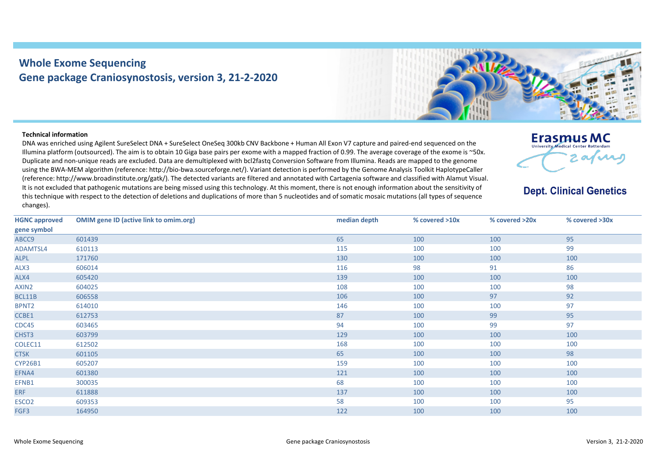## **Whole Exome Sequencing Gene package Craniosynostosis, version 3, 21-2-2020**



## **Technical information**

DNA was enriched using Agilent SureSelect DNA + SureSelect OneSeq 300kb CNV Backbone + Human All Exon V7 capture and paired-end sequenced on the Illumina platform (outsourced). The aim is to obtain 10 Giga base pairs per exome with a mapped fraction of 0.99. The average coverage of the exome is ~50x. Duplicate and non-unique reads are excluded. Data are demultiplexed with bcl2fastq Conversion Software from Illumina. Reads are mapped to the genome using the BWA-MEM algorithm (reference: http://bio-bwa.sourceforge.net/). Variant detection is performed by the Genome Analysis Toolkit HaplotypeCaller (reference: http://www.broadinstitute.org/gatk/). The detected variants are filtered and annotated with Cartagenia software and classified with Alamut Visual. It is not excluded that pathogenic mutations are being missed using this technology. At this moment, there is not enough information about the sensitivity of this technique with respect to the detection of deletions and duplications of more than 5 nucleotides and of somatic mosaic mutations (all types of sequence changes).



## **Dept. Clinical Genetics**

| <b>HGNC approved</b> | <b>OMIM gene ID (active link to omim.org)</b> | median depth | % covered >10x | % covered >20x | % covered >30x |
|----------------------|-----------------------------------------------|--------------|----------------|----------------|----------------|
| gene symbol          |                                               |              |                |                |                |
| ABCC9                | 601439                                        | 65           | 100            | 100            | 95             |
| ADAMTSL4             | 610113                                        | 115          | 100            | 100            | 99             |
| ALPL                 | 171760                                        | 130          | 100            | 100            | 100            |
| ALX3                 | 606014                                        | 116          | 98             | 91             | 86             |
| ALX4                 | 605420                                        | 139          | 100            | 100            | 100            |
| AXIN2                | 604025                                        | 108          | 100            | 100            | 98             |
| BCL11B               | 606558                                        | 106          | 100            | 97             | 92             |
| BPNT <sub>2</sub>    | 614010                                        | 146          | 100            | 100            | 97             |
| CCBE1                | 612753                                        | 87           | 100            | 99             | 95             |
| CDC45                | 603465                                        | 94           | 100            | 99             | 97             |
| CHST3                | 603799                                        | 129          | 100            | 100            | 100            |
| COLEC11              | 612502                                        | 168          | 100            | 100            | 100            |
| <b>CTSK</b>          | 601105                                        | 65           | 100            | 100            | 98             |
| <b>CYP26B1</b>       | 605207                                        | 159          | 100            | 100            | 100            |
| EFNA4                | 601380                                        | 121          | 100            | 100            | 100            |
| EFNB1                | 300035                                        | 68           | 100            | 100            | 100            |
| <b>ERF</b>           | 611888                                        | 137          | 100            | 100            | 100            |
| ESCO <sub>2</sub>    | 609353                                        | 58           | 100            | 100            | 95             |
| FGF3                 | 164950                                        | 122          | 100            | 100            | 100            |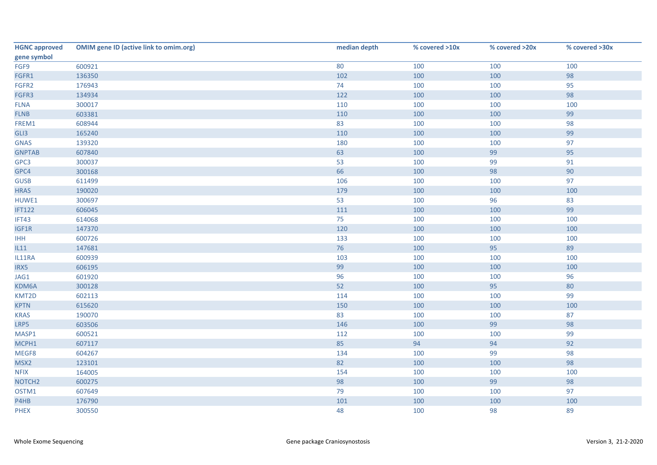| <b>HGNC approved</b> | <b>OMIM gene ID (active link to omim.org)</b> | median depth | % covered >10x | % covered >20x | % covered >30x |
|----------------------|-----------------------------------------------|--------------|----------------|----------------|----------------|
| gene symbol          |                                               |              |                |                |                |
| FGF9                 | 600921                                        | 80           | 100            | 100            | 100            |
| FGFR1                | 136350                                        | 102          | 100            | 100            | 98             |
| FGFR2                | 176943                                        | 74           | 100            | 100            | 95             |
| FGFR3                | 134934                                        | 122          | 100            | 100            | 98             |
| <b>FLNA</b>          | 300017                                        | 110          | 100            | 100            | 100            |
| <b>FLNB</b>          | 603381                                        | 110          | 100            | 100            | 99             |
| FREM1                | 608944                                        | 83           | 100            | 100            | 98             |
| GLI3                 | 165240                                        | 110          | 100            | 100            | 99             |
| <b>GNAS</b>          | 139320                                        | 180          | 100            | 100            | 97             |
| <b>GNPTAB</b>        | 607840                                        | 63           | 100            | 99             | 95             |
| GPC3                 | 300037                                        | 53           | 100            | 99             | 91             |
| GPC4                 | 300168                                        | 66           | 100            | 98             | 90             |
| <b>GUSB</b>          | 611499                                        | 106          | 100            | 100            | 97             |
| <b>HRAS</b>          | 190020                                        | 179          | 100            | 100            | 100            |
| HUWE1                | 300697                                        | 53           | 100            | 96             | 83             |
| <b>IFT122</b>        | 606045                                        | 111          | 100            | 100            | 99             |
| IFT43                | 614068                                        | 75           | 100            | 100            | 100            |
| IGF1R                | 147370                                        | 120          | 100            | 100            | 100            |
| <b>IHH</b>           | 600726                                        | 133          | 100            | 100            | 100            |
| L11                  | 147681                                        | 76           | 100            | 95             | 89             |
| IL11RA               | 600939                                        | 103          | 100            | 100            | 100            |
| IRX5                 | 606195                                        | 99           | 100            | 100            | 100            |
| JAG1                 | 601920                                        | 96           | 100            | 100            | 96             |
| KDM6A                | 300128                                        | 52           | 100            | 95             | $80\,$         |
| KMT2D                | 602113                                        | 114          | 100            | 100            | 99             |
| <b>KPTN</b>          | 615620                                        | 150          | 100            | 100            | 100            |
| <b>KRAS</b>          | 190070                                        | 83           | 100            | 100            | 87             |
| LRP5                 | 603506                                        | 146          | 100            | 99             | 98             |
| MASP1                | 600521                                        | 112          | 100            | 100            | 99             |
| MCPH1                | 607117                                        | 85           | 94             | 94             | 92             |
| MEGF8                | 604267                                        | 134          | 100            | 99             | 98             |
| MSX2                 | 123101                                        | 82           | 100            | 100            | 98             |
| <b>NFIX</b>          | 164005                                        | 154          | 100            | 100            | 100            |
| NOTCH <sub>2</sub>   | 600275                                        | 98           | 100            | 99             | 98             |
| OSTM1                | 607649                                        | 79           | 100            | 100            | 97             |
| P4HB                 | 176790                                        | 101          | 100            | 100            | 100            |
| <b>PHEX</b>          | 300550                                        | 48           | 100            | 98             | 89             |